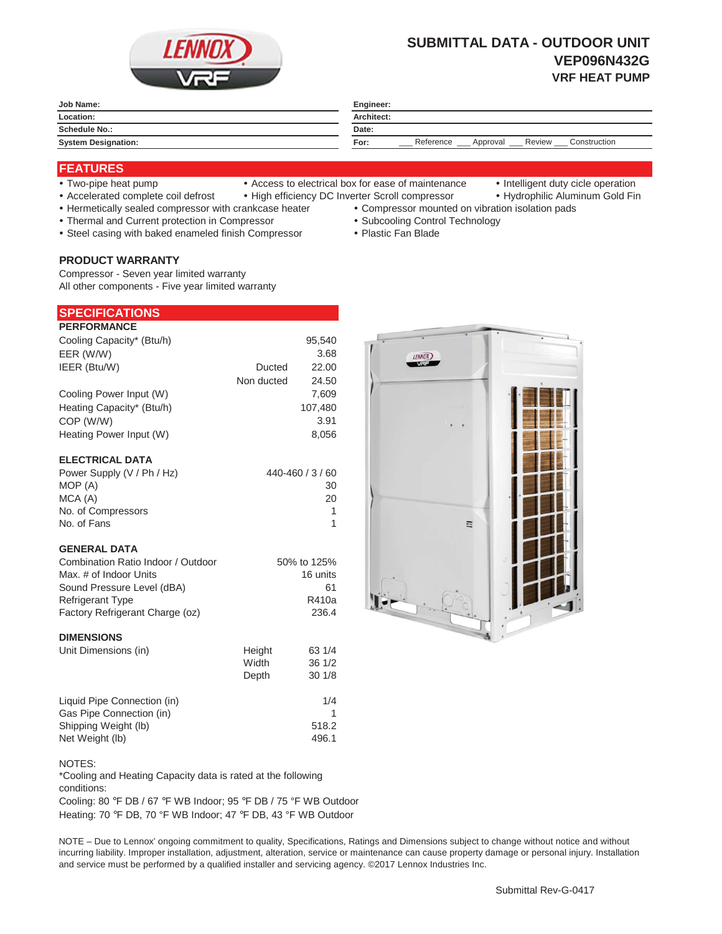

# **SUBMITTAL DATA - OUTDOOR UNIT VEP096N432G VRF HEAT PUMP**

| Job Name:                       | Engineer:                                               |  |
|---------------------------------|---------------------------------------------------------|--|
| Location:                       | Architect:                                              |  |
| <b>Schedule No.:</b><br>_______ | Date:                                                   |  |
| <b>System Designation:</b>      | Construction<br>Reference<br>Review<br>For:<br>Approval |  |

## **FEATURES**

- 
- Two-pipe heat pump Access to electrical box for ease of maintenance Intelligent duty cicle operation
- 
- Accelerated complete coil defrost High efficiency DC Inverter Scroll compressor Hydrophilic Aluminum Gold Fin
- Hermetically sealed compressor with crankcase heater Compressor mounted on vibration isolation pads
	-
	-
- 
- Thermal and Current protection in Compressor \* Subcooling Control Technology
- Steel casing with baked enameled finish Compressor Plastic Fan Blade

## **PRODUCT WARRANTY**

Compressor - Seven year limited warranty All other components - Five year limited warranty

| <b>SPECIFICATIONS</b> |
|-----------------------|
|-----------------------|

| <b>PERFORMANCE</b>        |            |         |
|---------------------------|------------|---------|
| Cooling Capacity* (Btu/h) |            | 95,540  |
| EER (W/W)                 |            | 3.68    |
| IEER (Btu/W)              | Ducted     | 22.00   |
|                           | Non ducted | 24.50   |
| Cooling Power Input (W)   |            | 7,609   |
| Heating Capacity* (Btu/h) |            | 107,480 |
| COP (W/W)                 |            | 3.91    |
| Heating Power Input (W)   |            | 8.056   |
|                           |            |         |
| <b>ELECTRICAL DATA</b>    |            |         |

| Power Supply (V / Ph / Hz) | 440-460 / 3 / 60 |
|----------------------------|------------------|
| MOP (A)                    | 30               |
| MCA (A)                    | 20               |
| No. of Compressors         |                  |
| No. of Fans                |                  |

#### **GENERAL DATA**

| Combination Ratio Indoor / Outdoor | 50% to 125% |
|------------------------------------|-------------|
| Max, # of Indoor Units             | 16 units    |
| Sound Pressure Level (dBA)         | 61          |
| <b>Refrigerant Type</b>            | R410a       |
| Factory Refrigerant Charge (oz)    | 236.4       |

#### **DIMENSIONS**

| Unit Dimensions (in)        | Height<br>Width | 63 1/4<br>36 1/2 |
|-----------------------------|-----------------|------------------|
|                             | Depth           | 301/8            |
| Liquid Pipe Connection (in) |                 | 1/4              |
| Gas Pipe Connection (in)    |                 |                  |
| Shipping Weight (lb)        |                 | 518.2            |
| Net Weight (lb)             |                 | 496.1            |

#### NOTES:

\*Cooling and Heating Capacity data is rated at the following conditions:

Cooling: 80 °F DB / 67 °F WB Indoor; 95 °F DB / 75 °F WB Outdoor Heating: 70 °F DB, 70 °F WB Indoor; 47 °F DB, 43 °F WB Outdoor

NOTE – Due to Lennox' ongoing commitment to quality, Specifications, Ratings and Dimensions subject to change without notice and without incurring liability. Improper installation, adjustment, alteration, service or maintenance can cause property damage or personal injury. Installation and service must be performed by a qualified installer and servicing agency. ©2017 Lennox Industries Inc.